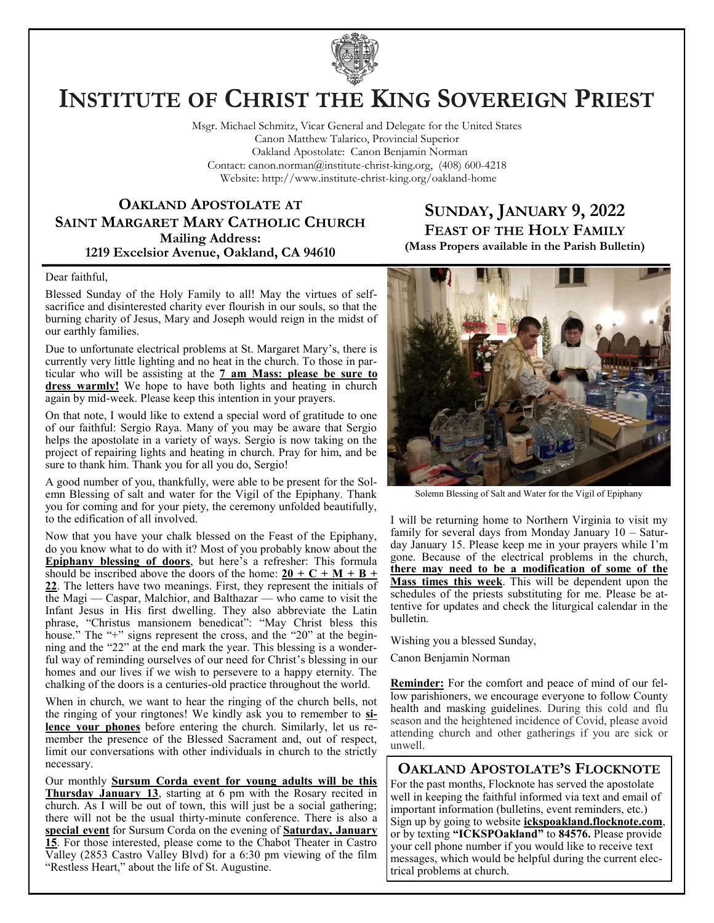

# **INSTITUTE OF CHRIST THE KING SOVEREIGN PRIEST**

Msgr. Michael Schmitz, Vicar General and Delegate for the United States Canon Matthew Talarico, Provincial Superior Oakland Apostolate: Canon Benjamin Norman Contact: canon.norman@institute-christ-king.org, (408) 600-4218 Website: http://www.institute-christ-king.org/oakland-home

## **OAKLAND APOSTOLATE AT SAINT MARGARET MARY CATHOLIC CHURCH Mailing Address: 1219 Excelsior Avenue, Oakland, CA 94610**

# **SUNDAY, JANUARY 9, 2022 FEAST OF THE HOLY FAMILY (Mass Propers available in the Parish Bulletin)**

#### Dear faithful,

Blessed Sunday of the Holy Family to all! May the virtues of selfsacrifice and disinterested charity ever flourish in our souls, so that the burning charity of Jesus, Mary and Joseph would reign in the midst of our earthly families.

Due to unfortunate electrical problems at St. Margaret Mary's, there is currently very little lighting and no heat in the church. To those in particular who will be assisting at the **7 am Mass: please be sure to dress warmly!** We hope to have both lights and heating in church again by mid-week. Please keep this intention in your prayers.

On that note, I would like to extend a special word of gratitude to one of our faithful: Sergio Raya. Many of you may be aware that Sergio helps the apostolate in a variety of ways. Sergio is now taking on the project of repairing lights and heating in church. Pray for him, and be sure to thank him. Thank you for all you do, Sergio!

A good number of you, thankfully, were able to be present for the Solemn Blessing of salt and water for the Vigil of the Epiphany. Thank you for coming and for your piety, the ceremony unfolded beautifully, to the edification of all involved.

Now that you have your chalk blessed on the Feast of the Epiphany, do you know what to do with it? Most of you probably know about the **Epiphany blessing of doors**, but here's a refresher: This formula should be inscribed above the doors of the home:  $20 + C + M + B +$ **22**. The letters have two meanings. First, they represent the initials of the Magi — Caspar, Malchior, and Balthazar — who came to visit the Infant Jesus in His first dwelling. They also abbreviate the Latin phrase, "Christus mansionem benedicat": "May Christ bless this house." The "+" signs represent the cross, and the "20" at the beginning and the "22" at the end mark the year. This blessing is a wonderful way of reminding ourselves of our need for Christ's blessing in our homes and our lives if we wish to persevere to a happy eternity. The chalking of the doors is a centuries-old practice throughout the world.

When in church, we want to hear the ringing of the church bells, not the ringing of your ringtones! We kindly ask you to remember to **silence your phones** before entering the church. Similarly, let us remember the presence of the Blessed Sacrament and, out of respect, limit our conversations with other individuals in church to the strictly necessary.

Our monthly **Sursum Corda event for young adults will be this Thursday January 13**, starting at 6 pm with the Rosary recited in church. As I will be out of town, this will just be a social gathering; there will not be the usual thirty-minute conference. There is also a **special event** for Sursum Corda on the evening of **Saturday, January 15**. For those interested, please come to the Chabot Theater in Castro Valley (2853 Castro Valley Blvd) for a 6:30 pm viewing of the film "Restless Heart," about the life of St. Augustine.



Solemn Blessing of Salt and Water for the Vigil of Epiphany

I will be returning home to Northern Virginia to visit my family for several days from Monday January 10 – Saturday January 15. Please keep me in your prayers while I'm gone. Because of the electrical problems in the church, **there may need to be a modification of some of the Mass times this week**. This will be dependent upon the schedules of the priests substituting for me. Please be attentive for updates and check the liturgical calendar in the bulletin.

Wishing you a blessed Sunday,

Canon Benjamin Norman

**Reminder:** For the comfort and peace of mind of our fellow parishioners, we encourage everyone to follow County health and masking guidelines. During this cold and flu season and the heightened incidence of Covid, please avoid attending church and other gatherings if you are sick or unwell.

**OAKLAND APOSTOLATE'S FLOCKNOTE** For the past months, Flocknote has served the apostolate well in keeping the faithful informed via text and email of important information (bulletins, event reminders, etc.) Sign up by going to website **ickspoakland.flocknote.com**, or by texting **"ICKSPOakland"** to **84576.** Please provide your cell phone number if you would like to receive text messages, which would be helpful during the current electrical problems at church.